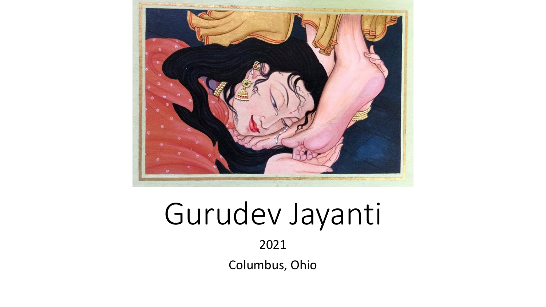

# Gurudev Jayanti

2021

Columbus, Ohio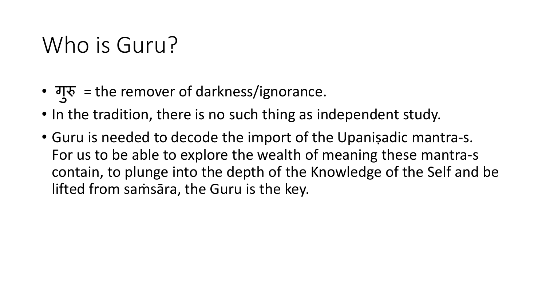## Who is Guru?

- गुरु = the remover of darkness/ignorance.
- In the tradition, there is no such thing as independent study.
- Guru is needed to decode the import of the Upaniṣadic mantra-s. For us to be able to explore the wealth of meaning these mantra-s contain, to plunge into the depth of the Knowledge of the Self and be lifted from saṁsāra, the Guru is the key.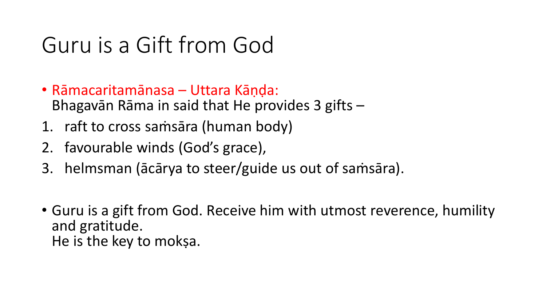## Guru is a Gift from God

- Rāmacaritamānasa Uttara Kāṇḍa: Bhagavān Rāma in said that He provides 3 gifts –
- 1. raft to cross saṁsāra (human body)
- 2. favourable winds (God's grace),
- 3. helmsman (ācārya to steer/guide us out of saṁsāra).
- Guru is a gift from God. Receive him with utmost reverence, humility and gratitude. He is the key to mokṣa.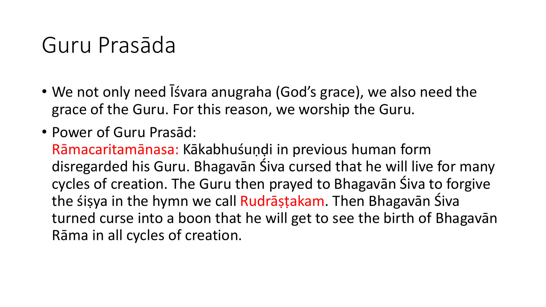### Guru Prasāda

- We not only need Isvara anugraha (God's grace), we also need the grace of the Guru. For this reason, we worship the Guru.
- Power of Guru Prasād:

Rāmacaritamānasa: Kākabhuśuṇḍi in previous human form disregarded his Guru. Bhagavān Śiva cursed that he will live for many cycles of creation. The Guru then prayed to Bhagavān Śiva to forgive the śiṣya in the hymn we call Rudrāṣṭakam. Then Bhagavān Śiva turned curse into a boon that he will get to see the birth of Bhagavān Rāma in all cycles of creation.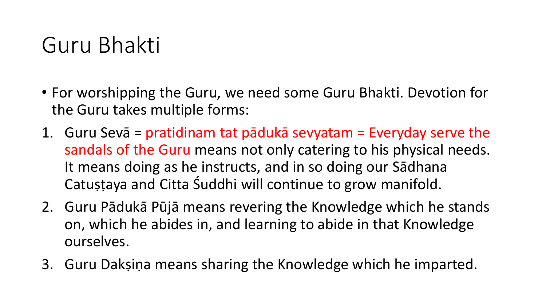## Guru Bhakti

- For worshipping the Guru, we need some Guru Bhakti. Devotion for the Guru takes multiple forms:
- 1. Guru Sevā = pratidinam tat pādukā sevyatam = Everyday serve the sandals of the Guru means not only catering to his physical needs. It means doing as he instructs, and in so doing our Sādhana Catuṣṭaya and Citta Śuddhi will continue to grow manifold.
- 2. Guru Pādukā Pūjā means revering the Knowledge which he stands on, which he abides in, and learning to abide in that Knowledge ourselves.
- 3. Guru Dakṣiṇa means sharing the Knowledge which he imparted.